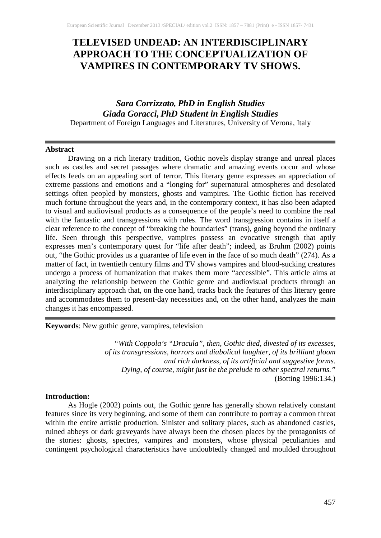# **TELEVISED UNDEAD: AN INTERDISCIPLINARY APPROACH TO THE CONCEPTUALIZATION OF VAMPIRES IN CONTEMPORARY TV SHOWS.**

# *Sara Corrizzato, PhD in English Studies Giada Goracci, PhD Student in English Studies* Department of Foreign Languages and Literatures, University of Verona, Italy

#### **Abstract**

Drawing on a rich literary tradition, Gothic novels display strange and unreal places such as castles and secret passages where dramatic and amazing events occur and whose effects feeds on an appealing sort of terror. This literary genre expresses an appreciation of extreme passions and emotions and a "longing for" supernatural atmospheres and desolated settings often peopled by monsters, ghosts and vampires. The Gothic fiction has received much fortune throughout the years and, in the contemporary context, it has also been adapted to visual and audiovisual products as a consequence of the people's need to combine the real with the fantastic and transgressions with rules. The word transgression contains in itself a clear reference to the concept of "breaking the boundaries" (trans), going beyond the ordinary life. Seen through this perspective, vampires possess an evocative strength that aptly expresses men's contemporary quest for "life after death"; indeed, as Bruhm (2002) points out, "the Gothic provides us a guarantee of life even in the face of so much death" (274). As a matter of fact, in twentieth century films and TV shows vampires and blood-sucking creatures undergo a process of humanization that makes them more "accessible". This article aims at analyzing the relationship between the Gothic genre and audiovisual products through an interdisciplinary approach that, on the one hand, tracks back the features of this literary genre and accommodates them to present-day necessities and, on the other hand, analyzes the main changes it has encompassed.

**Keywords**: New gothic genre, vampires, television

*"With Coppola's "Dracula", then, Gothic died, divested of its excesses, of its transgressions, horrors and diabolical laughter, of its brilliant gloom and rich darkness, of its artificial and suggestive forms. Dying, of course, might just be the prelude to other spectral returns."* (Botting 1996:134.)

#### **Introduction:**

As Hogle (2002) points out, the Gothic genre has generally shown relatively constant features since its very beginning, and some of them can contribute to portray a common threat within the entire artistic production. Sinister and solitary places, such as abandoned castles, ruined abbeys or dark graveyards have always been the chosen places by the protagonists of the stories: ghosts, spectres, vampires and monsters, whose physical peculiarities and contingent psychological characteristics have undoubtedly changed and moulded throughout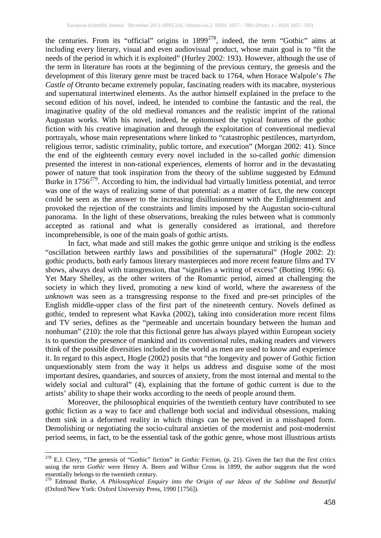the centuries. From its "official" origins in  $1899^{278}$  $1899^{278}$  $1899^{278}$ , indeed, the term "Gothic" aims at including every literary, visual and even audiovisual product, whose main goal is to "fit the needs of the period in which it is exploited" (Hurley 2002: 193). However, although the use of the term in literature has roots at the beginning of the previous century, the genesis and the development of this literary genre must be traced back to 1764, when Horace Walpole's *The Castle of Otranto* became extremely popular, fascinating readers with its macabre, mysterious and supernatural intertwined elements. As the author himself explained in the preface to the second edition of his novel, indeed, he intended to combine the fantastic and the real, the imaginative quality of the old medieval romances and the realistic imprint of the rational Augustan works. With his novel, indeed, he epitomised the typical features of the gothic fiction with his creative imagination and through the exploitation of conventional medieval portrayals, whose main representations where linked to "catastrophic pestilences, martyrdom, religious terror, sadistic criminality, public torture, and execution" (Morgan 2002: 41). Since the end of the eighteenth century every novel included in the so-called *gothic* dimension presented the interest in non-rational experiences, elements of horror and in the devastating power of nature that took inspiration from the theory of the sublime suggested by Edmund Burke in 1756<sup>[279](#page-1-1)</sup>. According to him, the individual had virtually limitless potential, and terror was one of the ways of realizing some of that potential: as a matter of fact, the new concept could be seen as the answer to the increasing disillusionment with the Enlightenment and provoked the rejection of the constraints and limits imposed by the Augustan socio-cultural panorama. In the light of these observations, breaking the rules between what is commonly accepted as rational and what is generally considered as irrational, and therefore incomprehensible, is one of the main goals of gothic artists.

In fact, what made and still makes the gothic genre unique and striking is the endless "oscillation between earthly laws and possibilities of the supernatural" (Hogle 2002: 2): gothic products, both early famous literary masterpieces and more recent feature films and TV shows, always deal with transgression, that "signifies a writing of excess" (Botting 1996: 6). Yet Mary Shelley, as the other writers of the Romantic period, aimed at challenging the society in which they lived, promoting a new kind of world, where the awareness of the *unknown* was seen as a transgressing response to the fixed and pre-set principles of the English middle-upper class of the first part of the nineteenth century. Novels defined as gothic, tended to represent what Kavka (2002), taking into consideration more recent films and TV series, defines as the "permeable and uncertain boundary between the human and nonhuman" (210): the role that this fictional genre has always played within European society is to question the presence of mankind and its conventional rules, making readers and viewers think of the possible diversities included in the world as men are used to know and experience it. In regard to this aspect, Hogle (2002) posits that "the longevity and power of Gothic fiction unquestionably stem from the way it helps us address and disguise some of the most important desires, quandaries, and sources of anxiety, from the most internal and mental to the widely social and cultural" (4), explaining that the fortune of gothic current is due to the artists' ability to shape their works according to the needs of people around them.

Moreover, the philosophical enquiries of the twentieth century have contributed to see gothic fiction as a way to face and challenge both social and individual obsessions, making them sink in a deformed reality in which things can be perceived in a misshaped form. Demolishing or negotiating the socio-cultural anxieties of the modernist and post-modernist period seems, in fact, to be the essential task of the gothic genre, whose most illustrious artists

<span id="page-1-0"></span><sup>278</sup> E.J. Clery, "The genesis of "Gothic" fiction" in *Gothic Fiction*, (p. 21). Given the fact that the first critics using the term *Gothic* were Henry A. Beers and Wilbur Cross in 1899, the author suggests that the word essentially belongs to the twentieth century.

<span id="page-1-1"></span><sup>&</sup>lt;sup>279</sup> Edmund Burke, *A Philosophical Enquiry into the Origin of our Ideas of the Sublime and Beautiful* (Oxford/New York: Oxford University Press, 1990 [1756]).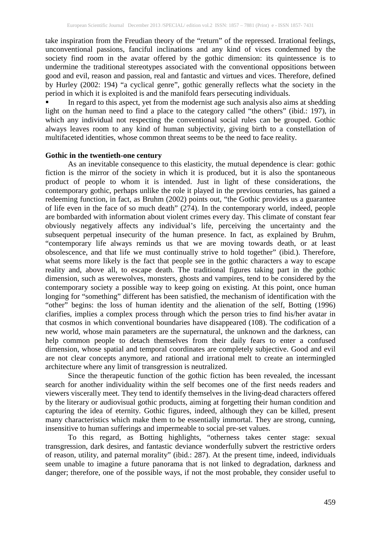take inspiration from the Freudian theory of the "return" of the repressed. Irrational feelings, unconventional passions, fanciful inclinations and any kind of vices condemned by the society find room in the avatar offered by the gothic dimension: its quintessence is to undermine the traditional stereotypes associated with the conventional oppositions between good and evil, reason and passion, real and fantastic and virtues and vices. Therefore, defined by Hurley (2002: 194) "a cyclical genre", gothic generally reflects what the society in the period in which it is exploited is and the manifold fears persecuting individuals.

 In regard to this aspect, yet from the modernist age such analysis also aims at shedding light on the human need to find a place to the category called "the others" (ibid.: 197), in which any individual not respecting the conventional social rules can be grouped. Gothic always leaves room to any kind of human subjectivity, giving birth to a constellation of multifaceted identities, whose common threat seems to be the need to face reality.

## **Gothic in the twentieth-one century**

As an inevitable consequence to this elasticity, the mutual dependence is clear: gothic fiction is the mirror of the society in which it is produced, but it is also the spontaneous product of people to whom it is intended. Just in light of these considerations, the contemporary gothic, perhaps unlike the role it played in the previous centuries, has gained a redeeming function, in fact, as Bruhm (2002) points out, "the Gothic provides us a guarantee of life even in the face of so much death" (274). In the contemporary world, indeed, people are bombarded with information about violent crimes every day. This climate of constant fear obviously negatively affects any individual's life, perceiving the uncertainty and the subsequent perpetual insecurity of the human presence. In fact, as explained by Bruhm, "contemporary life always reminds us that we are moving towards death, or at least obsolescence, and that life we must continually strive to hold together" (ibid.). Therefore, what seems more likely is the fact that people see in the gothic characters a way to escape reality and, above all, to escape death. The traditional figures taking part in the gothic dimension, such as werewolves, monsters, ghosts and vampires, tend to be considered by the contemporary society a possible way to keep going on existing. At this point, once human longing for "something" different has been satisfied, the mechanism of identification with the "other" begins: the loss of human identity and the alienation of the self, Botting (1996) clarifies, implies a complex process through which the person tries to find his/her avatar in that cosmos in which conventional boundaries have disappeared (108). The codification of a new world, whose main parameters are the supernatural, the unknown and the darkness, can help common people to detach themselves from their daily fears to enter a confused dimension, whose spatial and temporal coordinates are completely subjective. Good and evil are not clear concepts anymore, and rational and irrational melt to create an intermingled architecture where any limit of transgression is neutralized.

Since the therapeutic function of the gothic fiction has been revealed, the incessant search for another individuality within the self becomes one of the first needs readers and viewers viscerally meet. They tend to identify themselves in the living-dead characters offered by the literary or audiovisual gothic products, aiming at forgetting their human condition and capturing the idea of eternity. Gothic figures, indeed, although they can be killed, present many characteristics which make them to be essentially immortal. They are strong, cunning, insensitive to human sufferings and impermeable to social pre-set values.

To this regard, as Botting highlights, "otherness takes center stage: sexual transgression, dark desires, and fantastic deviance wonderfully subvert the restrictive orders of reason, utility, and paternal morality" (ibid.: 287). At the present time, indeed, individuals seem unable to imagine a future panorama that is not linked to degradation, darkness and danger; therefore, one of the possible ways, if not the most probable, they consider useful to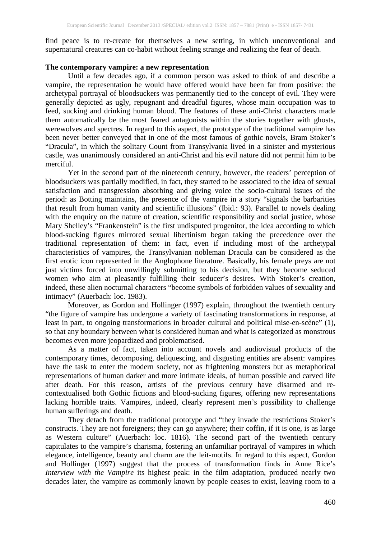find peace is to re-create for themselves a new setting, in which unconventional and supernatural creatures can co-habit without feeling strange and realizing the fear of death.

#### **The contemporary vampire: a new representation**

Until a few decades ago, if a common person was asked to think of and describe a vampire, the representation he would have offered would have been far from positive: the archetypal portrayal of bloodsuckers was permanently tied to the concept of evil. They were generally depicted as ugly, repugnant and dreadful figures, whose main occupation was to feed, sucking and drinking human blood. The features of these anti-Christ characters made them automatically be the most feared antagonists within the stories together with ghosts, werewolves and spectres. In regard to this aspect, the prototype of the traditional vampire has been never better conveyed that in one of the most famous of gothic novels, Bram Stoker's "Dracula", in which the solitary Count from Transylvania lived in a sinister and mysterious castle, was unanimously considered an anti-Christ and his evil nature did not permit him to be merciful.

Yet in the second part of the nineteenth century, however, the readers' perception of bloodsuckers was partially modified, in fact, they started to be associated to the idea of sexual satisfaction and transgression absorbing and giving voice the socio-cultural issues of the period: as Botting maintains, the presence of the vampire in a story "signals the barbarities that result from human vanity and scientific illusions" (Ibid.: 93). Parallel to novels dealing with the enquiry on the nature of creation, scientific responsibility and social justice, whose Mary Shelley's "Frankenstein" is the first undisputed progenitor, the idea according to which blood-sucking figures mirrored sexual libertinism began taking the precedence over the traditional representation of them: in fact, even if including most of the archetypal characteristics of vampires, the Transylvanian nobleman Dracula can be considered as the first erotic icon represented in the Anglophone literature. Basically, his female preys are not just victims forced into unwillingly submitting to his decision, but they become seduced women who aim at pleasantly fulfilling their seducer's desires. With Stoker's creation, indeed, these alien nocturnal characters "become symbols of forbidden values of sexuality and intimacy" (Auerbach: loc. 1983).

Moreover, as Gordon and Hollinger (1997) explain, throughout the twentieth century "the figure of vampire has undergone a variety of fascinating transformations in response, at least in part, to ongoing transformations in broader cultural and political mise-en-scène" (1), so that any boundary between what is considered human and what is categorized as monstrous becomes even more jeopardized and problematised.

As a matter of fact, taken into account novels and audiovisual products of the contemporary times, decomposing, deliquescing, and disgusting entities are absent: vampires have the task to enter the modern society, not as frightening monsters but as metaphorical representations of human darker and more intimate ideals, of human possible and carved life after death. For this reason, artists of the previous century have disarmed and recontextualised both Gothic fictions and blood-sucking figures, offering new representations lacking horrible traits. Vampires, indeed, clearly represent men's possibility to challenge human sufferings and death.

They detach from the traditional prototype and "they invade the restrictions Stoker's constructs. They are not foreigners; they can go anywhere; their coffin, if it is one, is as large as Western culture" (Auerbach: loc. 1816). The second part of the twentieth century capitulates to the vampire's charisma, fostering an unfamiliar portrayal of vampires in which elegance, intelligence, beauty and charm are the leit-motifs. In regard to this aspect, Gordon and Hollinger (1997) suggest that the process of transformation finds in Anne Rice's *Interview with the Vampire* its highest peak: in the film adaptation, produced nearly two decades later, the vampire as commonly known by people ceases to exist, leaving room to a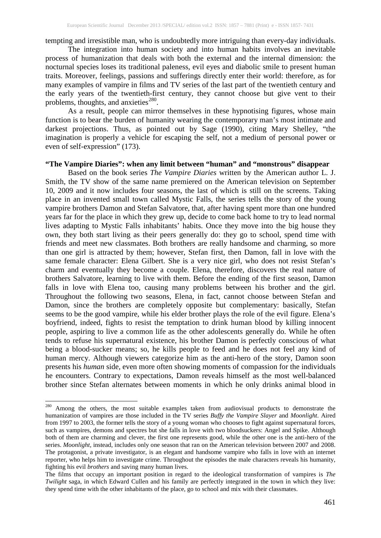tempting and irresistible man, who is undoubtedly more intriguing than every-day individuals.

The integration into human society and into human habits involves an inevitable process of humanization that deals with both the external and the internal dimension: the nocturnal species loses its traditional paleness, evil eyes and diabolic smile to present human traits. Moreover, feelings, passions and sufferings directly enter their world: therefore, as for many examples of vampire in films and TV series of the last part of the twentieth century and the early years of the twentieth-first century, they cannot choose but give vent to their problems, thoughts, and anxieties<sup>[280](#page-4-0)</sup>.

As a result, people can mirror themselves in these hypnotising figures, whose main function is to bear the burden of humanity wearing the contemporary man's most intimate and darkest projections. Thus, as pointed out by Sage (1990), citing Mary Shelley, "the imagination is properly a vehicle for escaping the self, not a medium of personal power or even of self-expression" (173).

#### **"The Vampire Diaries": when any limit between "human" and "monstrous" disappear**

Based on the book series *The Vampire Diaries* written by the American author L. J. Smith, the TV show of the same name premiered on the American television on September 10, 2009 and it now includes four seasons, the last of which is still on the screens. Taking place in an invented small town called Mystic Falls, the series tells the story of the young vampire brothers Damon and Stefan Salvatore, that, after having spent more than one hundred years far for the place in which they grew up, decide to come back home to try to lead normal lives adapting to Mystic Falls inhabitants' habits. Once they move into the big house they own, they both start living as their peers generally do: they go to school, spend time with friends and meet new classmates. Both brothers are really handsome and charming, so more than one girl is attracted by them; however, Stefan first, then Damon, fall in love with the same female character: Elena Gilbert. She is a very nice girl, who does not resist Stefan's charm and eventually they become a couple. Elena, therefore, discovers the real nature of brothers Salvatore, learning to live with them. Before the ending of the first season, Damon falls in love with Elena too, causing many problems between his brother and the girl. Throughout the following two seasons, Elena, in fact, cannot choose between Stefan and Damon, since the brothers are completely opposite but complementary: basically, Stefan seems to be the good vampire, while his elder brother plays the role of the evil figure. Elena's boyfriend, indeed, fights to resist the temptation to drink human blood by killing innocent people, aspiring to live a common life as the other adolescents generally do. While he often tends to refuse his supernatural existence, his brother Damon is perfectly conscious of what being a blood-sucker means; so, he kills people to feed and he does not feel any kind of human mercy. Although viewers categorize him as the anti-hero of the story, Damon soon presents his *human* side, even more often showing moments of compassion for the individuals he encounters. Contrary to expectations, Damon reveals himself as the most well-balanced brother since Stefan alternates between moments in which he only drinks animal blood in

<span id="page-4-0"></span><sup>&</sup>lt;sup>280</sup> Among the others, the most suitable examples taken from audiovisual products to demonstrate the humanization of vampires are those included in the TV series *Buffy the Vampire Slayer* and *Moonlight*. Aired from 1997 to 2003, the former tells the story of a young woman who chooses to fight against supernatural forces, such as vampires, demons and spectres but she falls in love with two bloodsuckers: Angel and Spike. Although both of them are charming and clever, the first one represents good, while the other one is the anti-hero of the series. *Moonlight*, instead, includes only one season that ran on the American television between 2007 and 2008. The protagonist, a private investigator, is an elegant and handsome vampire who falls in love with an internet reporter, who helps him to investigate crime. Throughout the episodes the male characters reveals his humanity, fighting his evil *brothers* and saving many human lives.

The films that occupy an important position in regard to the ideological transformation of vampires is *The Twilight* saga, in which Edward Cullen and his family are perfectly integrated in the town in which they live: they spend time with the other inhabitants of the place, go to school and mix with their classmates.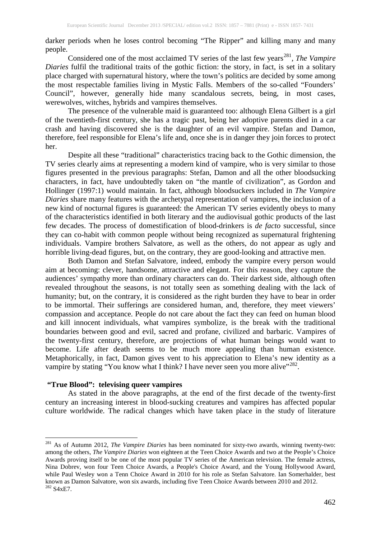darker periods when he loses control becoming "The Ripper" and killing many and many people.

Considered one of the most acclaimed TV series of the last few years<sup>[281](#page-5-0)</sup>, *The Vampire Diaries* fulfil the traditional traits of the gothic fiction: the story, in fact, is set in a solitary place charged with supernatural history, where the town's politics are decided by some among the most respectable families living in Mystic Falls. Members of the so-called "Founders' Council", however, generally hide many scandalous secrets, being, in most cases, werewolves, witches, hybrids and vampires themselves.

The presence of the vulnerable maid is guaranteed too: although Elena Gilbert is a girl of the twentieth-first century, she has a tragic past, being her adoptive parents died in a car crash and having discovered she is the daughter of an evil vampire. Stefan and Damon, therefore, feel responsible for Elena's life and, once she is in danger they join forces to protect her.

Despite all these "traditional" characteristics tracing back to the Gothic dimension, the TV series clearly aims at representing a modern kind of vampire, who is very similar to those figures presented in the previous paragraphs: Stefan, Damon and all the other bloodsucking characters, in fact, have undoubtedly taken on "the mantle of civilization", as Gordon and Hollinger (1997:1) would maintain. In fact, although bloodsuckers included in *The Vampire Diaries* share many features with the archetypal representation of vampires, the inclusion of a new kind of nocturnal figures is guaranteed: the American TV series evidently obeys to many of the characteristics identified in both literary and the audiovisual gothic products of the last few decades. The process of domestification of blood-drinkers is *de facto* successful, since they can co-habit with common people without being recognized as supernatural frightening individuals. Vampire brothers Salvatore, as well as the others, do not appear as ugly and horrible living-dead figures, but, on the contrary, they are good-looking and attractive men.

Both Damon and Stefan Salvatore, indeed, embody the vampire every person would aim at becoming: clever, handsome, attractive and elegant. For this reason, they capture the audiences' sympathy more than ordinary characters can do. Their darkest side, although often revealed throughout the seasons, is not totally seen as something dealing with the lack of humanity; but, on the contrary, it is considered as the right burden they have to bear in order to be immortal. Their sufferings are considered human, and, therefore, they meet viewers' compassion and acceptance. People do not care about the fact they can feed on human blood and kill innocent individuals, what vampires symbolize, is the break with the traditional boundaries between good and evil, sacred and profane, civilized and barbaric. Vampires of the twenty-first century, therefore, are projections of what human beings would want to become. Life after death seems to be much more appealing than human existence. Metaphorically, in fact, Damon gives vent to his appreciation to Elena's new identity as a vampire by stating "You know what I think? I have never seen you more alive"<sup>[282](#page-5-1)</sup>.

## **"True Blood": televising queer vampires**

As stated in the above paragraphs, at the end of the first decade of the twenty-first century an increasing interest in blood-sucking creatures and vampires has affected popular culture worldwide. The radical changes which have taken place in the study of literature

<span id="page-5-1"></span><span id="page-5-0"></span><sup>281</sup> As of Autumn 2012, *The Vampire Diaries* has been nominated for sixty-two awards, winning twenty-two: among the others, *The Vampire Diaries* won eighteen at the Teen Choice Awards and two at the People's Choice Awards proving itself to be one of the most popular TV series of the American television. The female actress, Nina Dobrev, won four Teen Choice Awards, a People's Choice Award, and the Young Hollywood Award, while Paul Wesley won a Tenn Choice Award in 2010 for his role as Stefan Salvatore. Ian Somerhalder, best known as Damon Salvatore, won six awards, including five Teen Choice Awards between 2010 and 2012.<br><sup>282</sup> S4xE7.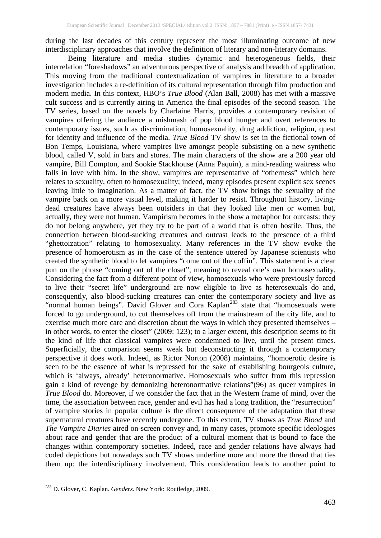during the last decades of this century represent the most illuminating outcome of new interdisciplinary approaches that involve the definition of literary and non-literary domains.

Being literature and media studies dynamic and heterogeneous fields, their interrelation "foreshadows" an adventurous perspective of analysis and breadth of application. This moving from the traditional contextualization of vampires in literature to a broader investigation includes a re-definition of its cultural representation through film production and modern media. In this context, HBO's *True Blood* (Alan Ball, 2008) has met with a massive cult success and is currently airing in America the final episodes of the second season. The TV series, based on the novels by Charlaine Harris, provides a contemporary revision of vampires offering the audience a mishmash of pop blood hunger and overt references to contemporary issues, such as discrimination, homosexuality, drug addiction, religion, quest for identity and influence of the media. *True Blood* TV show is set in the fictional town of Bon Temps, Louisiana, where vampires live amongst people subsisting on a new synthetic blood, called V, sold in bars and stores. The main characters of the show are a 200 year old vampire, Bill Compton, and Sookie Stackhouse (Anna Paquin), a mind-reading waitress who falls in love with him. In the show, vampires are representative of "otherness" which here relates to sexuality, often to homosexuality; indeed, many episodes present explicit sex scenes leaving little to imagination. As a matter of fact, the TV show brings the sexuality of the vampire back on a more visual level, making it harder to resist. Throughout history, livingdead creatures have always been outsiders in that they looked like men or women but, actually, they were not human. Vampirism becomes in the show a metaphor for outcasts: they do not belong anywhere, yet they try to be part of a world that is often hostile. Thus, the connection between blood-sucking creatures and outcast leads to the presence of a third "ghettoization" relating to homosexuality. Many references in the TV show evoke the presence of homoerotism as in the case of the sentence uttered by Japanese scientists who created the synthetic blood to let vampires "come out of the coffin". This statement is a clear pun on the phrase "coming out of the closet", meaning to reveal one's own homosexuality. Considering the fact from a different point of view, homosexuals who were previously forced to live their "secret life" underground are now eligible to live as heterosexuals do and, consequently, also blood-sucking creatures can enter the contemporary society and live as "normal human beings". David Glover and Cora Kaplan<sup>[283](#page-6-0)</sup> state that "homosexuals were forced to go underground, to cut themselves off from the mainstream of the city life, and to exercise much more care and discretion about the ways in which they presented themselves – in other words, to enter the closet" (2009: 123); to a larger extent, this description seems to fit the kind of life that classical vampires were condemned to live, until the present times. Superficially, the comparison seems weak but deconstructing it through a contemporary perspective it does work. Indeed, as Rictor Norton (2008) maintains, "homoerotic desire is seen to be the essence of what is repressed for the sake of establishing bourgeois culture, which is 'always, already' heteronormative. Homosexuals who suffer from this repression gain a kind of revenge by demonizing heteronormative relations"(96) as queer vampires in *True Blood* do*.* Moreover, if we consider the fact that in the Western frame of mind, over the time, the association between race, gender and evil has had a long tradition, the "resurrection" of vampire stories in popular culture is the direct consequence of the adaptation that these supernatural creatures have recently undergone. To this extent, TV shows as *True Blood* and *The Vampire Diaries* aired on-screen convey and, in many cases, promote specific ideologies about race and gender that are the product of a cultural moment that is bound to face the changes within contemporary societies. Indeed, race and gender relations have always had coded depictions but nowadays such TV shows underline more and more the thread that ties them up: the interdisciplinary involvement. This consideration leads to another point to

<span id="page-6-0"></span><sup>283</sup> D. Glover, C. Kaplan. *Genders*. New York: Routledge, 2009.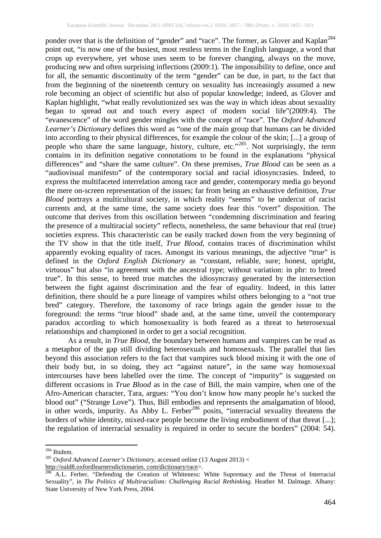ponder over that is the definition of "gender" and "race". The former, as Glover and Kaplan<sup>[284](#page-7-0)</sup> point out, "is now one of the busiest, most restless terms in the English language, a word that crops up everywhere, yet whose uses seem to be forever changing, always on the move, producing new and often surprising inflections (2009:1). The impossibility to define, once and for all, the semantic discontinuity of the term "gender" can be due, in part, to the fact that from the beginning of the nineteenth century on sexuality has increasingly assumed a new role becoming an object of scientific but also of popular knowledge; indeed, as Glover and Kaplan highlight, "what really revolutionized sex was the way in which ideas about sexuality began to spread out and touch every aspect of modern social life"(2009:4). The "evanescence" of the word gender mingles with the concept of "race". The *Oxford Advanced Learner's Dictionary* defines this word as "one of the main group that humans can be divided into according to their physical differences, for example the colour of the skin; [...] a group of people who share the same language, history, culture, etc."<sup>[285](#page-7-1)</sup>. Not surprisingly, the term contains in its definition negative connotations to be found in the explanations "physical differences" and "share the same culture". On these premises, *True Blood* can be seen as a "audiovisual manifesto" of the contemporary social and racial idiosyncrasies. Indeed, to express the multifaceted interrelation among race and gender, contemporary media go beyond the mere on-screen representation of the issues; far from being an exhaustive definition, *True Blood* portrays a multicultural society, in which reality "seems" to be undercut of racist currents and, at the same time, the same society does fear this "overt" disposition. The outcome that derives from this oscillation between "condemning discrimination and fearing the presence of a multiracial society" reflects, nonetheless, the same behaviour that real (true) societies express. This characteristic can be easily tracked down from the very beginning of the TV show in that the title itself, *True Blood*, contains traces of discrimination whilst apparently evoking equality of races. Amongst its various meanings, the adjective "true" is defined in the *Oxford English Dictionary* as "constant, reliable, sure; honest, upright, virtuous" but also "in agreement with the ancestral type; without variation: in phr: to breed true". In this sense, to breed true matches the idiosyncrasy generated by the intersection between the fight against discrimination and the fear of equality. Indeed, in this latter definition, there should be a pure lineage of vampires whilst others belonging to a "not true bred" category. Therefore, the taxonomy of race brings again the gender issue to the foreground: the terms "true blood" shade and, at the same time, unveil the contemporary paradox according to which homosexuality is both feared as a threat to heterosexual relationships and championed in order to get a social recognition.

As a result, in *True Blood*, the boundary between humans and vampires can be read as a metaphor of the gap still dividing heterosexuals and homosexuals. The parallel that lies beyond this association refers to the fact that vampires suck blood mixing it with the one of their body but, in so doing, they act "against nature", in the same way homosexual intercourses have been labelled over the time. The concept of "impurity" is suggested on different occasions in *True Blood* as in the case of Bill, the main vampire, when one of the Afro-American character, Tara, argues: "You don't know how many people he's sucked the blood out" ("Strange Love"). Thus, Bill embodies and represents the amalgamation of blood, in other words, impurity. As Abby L. Ferber<sup>[286](#page-7-2)</sup> posits, "interracial sexuality threatens the borders of white identity, mixed-race people become the living embodiment of that threat [...]; the regulation of interracial sexuality is required in order to secure the borders" (2004: 54).

<span id="page-7-1"></span><span id="page-7-0"></span><sup>&</sup>lt;sup>284</sup> Ibidem.<br><sup>285</sup> *Oxford Advanced Learner's Dictionary*, accessed online (13 August 2013) <<br>http://oald8.oxfordlearnersdictionaries.com/dictionary/race>.

<span id="page-7-2"></span>A.L. Ferber, "Defending the Creation of Whiteness: White Supremacy and the Threat of Interracial Sexuality", in *The Politics of Multiracialism: Challenging Racial Rethinking.* Heather M. Dalmage. Albany: State University of New York Press, 2004.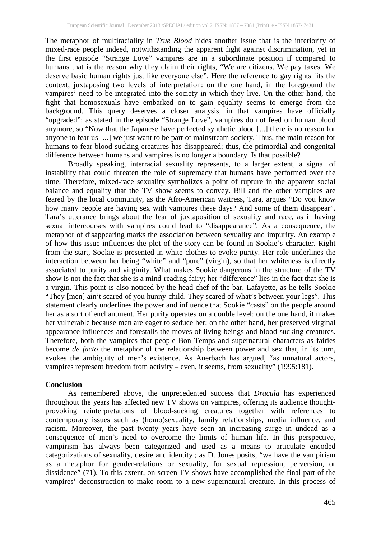The metaphor of multiraciality in *True Blood* hides another issue that is the inferiority of mixed-race people indeed, notwithstanding the apparent fight against discrimination, yet in the first episode "Strange Love" vampires are in a subordinate position if compared to humans that is the reason why they claim their rights, "We are citizens. We pay taxes. We deserve basic human rights just like everyone else". Here the reference to gay rights fits the context, juxtaposing two levels of interpretation: on the one hand, in the foreground the vampires' need to be integrated into the society in which they live. On the other hand, the fight that homosexuals have embarked on to gain equality seems to emerge from the background. This query deserves a closer analysis, in that vampires have officially "upgraded"; as stated in the episode "Strange Love", vampires do not feed on human blood anymore, so "Now that the Japanese have perfected synthetic blood [...] there is no reason for anyone to fear us [...] we just want to be part of mainstream society. Thus, the main reason for humans to fear blood-sucking creatures has disappeared; thus, the primordial and congenital difference between humans and vampires is no longer a boundary. Is that possible?

Broadly speaking, interracial sexuality represents, to a larger extent, a signal of instability that could threaten the role of supremacy that humans have performed over the time. Therefore, mixed-race sexuality symbolizes a point of rupture in the apparent social balance and equality that the TV show seems to convey. Bill and the other vampires are feared by the local community, as the Afro-American waitress, Tara, argues "Do you know how many people are having sex with vampires these days? And some of them disappear". Tara's utterance brings about the fear of juxtaposition of sexuality and race, as if having sexual intercourses with vampires could lead to "disappearance". As a consequence, the metaphor of disappearing marks the association between sexuality and impurity. An example of how this issue influences the plot of the story can be found in Sookie's character. Right from the start, Sookie is presented in white clothes to evoke purity. Her role underlines the interaction between her being "white" and "pure" (virgin), so that her whiteness is directly associated to purity and virginity. What makes Sookie dangerous in the structure of the TV show is not the fact that she is a mind-reading fairy; her "difference" lies in the fact that she is a virgin. This point is also noticed by the head chef of the bar, Lafayette, as he tells Sookie "They [men] ain't scared of you hunny-child. They scared of what's between your legs". This statement clearly underlines the power and influence that Sookie "casts" on the people around her as a sort of enchantment. Her purity operates on a double level: on the one hand, it makes her vulnerable because men are eager to seduce her; on the other hand, her preserved virginal appearance influences and forestalls the moves of living beings and blood-sucking creatures. Therefore, both the vampires that people Bon Temps and supernatural characters as fairies become *de facto* the metaphor of the relationship between power and sex that, in its turn, evokes the ambiguity of men's existence. As Auerbach has argued, "as unnatural actors, vampires represent freedom from activity – even, it seems, from sexuality" (1995:181).

#### **Conclusion**

As remembered above, the unprecedented success that *Dracula* has experienced throughout the years has affected new TV shows on vampires, offering its audience thoughtprovoking reinterpretations of blood-sucking creatures together with references to contemporary issues such as (homo)sexuality, family relationships, media influence, and racism. Moreover, the past twenty years have seen an increasing surge in undead as a consequence of men's need to overcome the limits of human life. In this perspective, vampirism has always been categorized and used as a means to articulate encoded categorizations of sexuality, desire and identity ; as D. Jones posits, "we have the vampirism as a metaphor for gender-relations or sexuality, for sexual repression, perversion, or dissidence" (71). To this extent, on-screen TV shows have accomplished the final part of the vampires' deconstruction to make room to a new supernatural creature. In this process of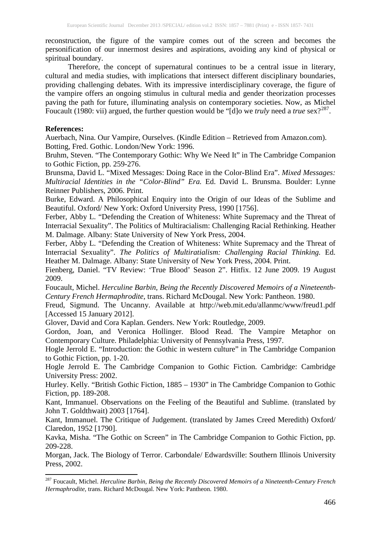reconstruction, the figure of the vampire comes out of the screen and becomes the personification of our innermost desires and aspirations, avoiding any kind of physical or spiritual boundary.

Therefore, the concept of supernatural continues to be a central issue in literary, cultural and media studies, with implications that intersect different disciplinary boundaries, providing challenging debates. With its impressive interdisciplinary coverage, the figure of the vampire offers an ongoing stimulus in cultural media and gender theorization processes paving the path for future, illuminating analysis on contemporary societies. Now, as Michel Foucault (1980: vii) argued, the further question would be "[d]o we *truly* need a *true* sex?<sup>[287](#page-9-0)</sup>.

## **References:**

Auerbach, Nina. Our Vampire, Ourselves. (Kindle Edition – Retrieved from Amazon.com). Botting, Fred. Gothic. London/New York: 1996.

Bruhm, Steven. "The Contemporary Gothic: Why We Need It" in The Cambridge Companion to Gothic Fiction, pp. 259-276.

Brunsma, David L. "Mixed Messages: Doing Race in the Color-Blind Era". *Mixed Messages: Multiracial Identities in the "Color-Blind" Era.* Ed. David L. Brunsma. Boulder: Lynne Reinner Publishers, 2006. Print.

Burke, Edward. A Philosophical Enquiry into the Origin of our Ideas of the Sublime and Beautiful. Oxford/ New York: Oxford University Press, 1990 [1756].

Ferber, Abby L. "Defending the Creation of Whiteness: White Supremacy and the Threat of Interracial Sexuality". The Politics of Multiracialism: Challenging Racial Rethinking. Heather M. Dalmage. Albany: State University of New York Press, 2004.

Ferber, Abby L. "Defending the Creation of Whiteness: White Supremacy and the Threat of Interracial Sexuality". *The Politics of Multiratialism: Challenging Racial Thinking.* Ed. Heather M. Dalmage. Albany: State University of New York Press, 2004. Print.

Fienberg, Daniel. "TV Review: 'True Blood' Season 2". Hitfix. 12 June 2009. 19 August 2009.

Foucault, Michel. *Herculine Barbin, Being the Recently Discovered Memoirs of a Nineteenth-Century French Hermaphrodite*, trans. Richard McDougal. New York: Pantheon. 1980.

Freud, Sigmund. The Uncanny. Available at http://web.mit.edu/allanmc/www/freud1.pdf [Accessed 15 January 2012].

Glover, David and Cora Kaplan. Genders. New York: Routledge, 2009.

Gordon, Joan, and Veronica Hollinger. Blood Read. The Vampire Metaphor on Contemporary Culture. Philadelphia: University of Pennsylvania Press, 1997.

Hogle Jerrold E. "Introduction: the Gothic in western culture" in The Cambridge Companion to Gothic Fiction, pp. 1-20.

Hogle Jerrold E. The Cambridge Companion to Gothic Fiction. Cambridge: Cambridge University Press: 2002.

Hurley. Kelly. "British Gothic Fiction, 1885 – 1930" in The Cambridge Companion to Gothic Fiction, pp. 189-208.

Kant, Immanuel. Observations on the Feeling of the Beautiful and Sublime. (translated by John T. Goldthwait) 2003 [1764].

Kant, Immanuel. The Critique of Judgement. (translated by James Creed Meredith) Oxford/ Claredon, 1952 [1790].

Kavka, Misha. "The Gothic on Screen" in The Cambridge Companion to Gothic Fiction, pp. 209-228.

Morgan, Jack. The Biology of Terror. Carbondale/ Edwardsville: Southern Illinois University Press, 2002.

<span id="page-9-0"></span><sup>287</sup> Foucault, Michel. *Herculine Barbin, Being the Recently Discovered Memoirs of a Nineteenth-Century French Hermaphrodite,* trans. Richard McDougal. New York: Pantheon. 1980.